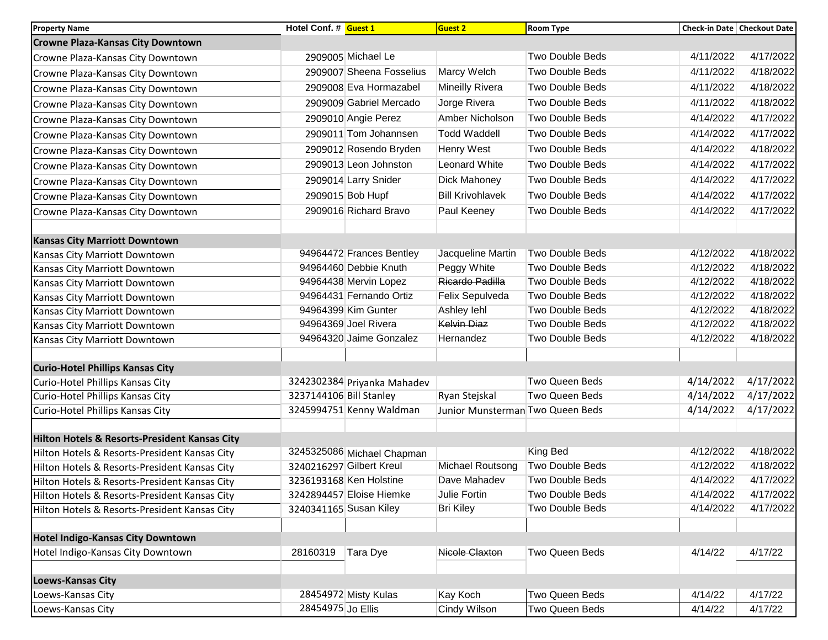| <b>Property Name</b>                          | Hotel Conf. # Guest 1   |                             | <b>Guest 2</b>                   | <b>Room Type</b>       | Check-in Date Checkout Date |           |
|-----------------------------------------------|-------------------------|-----------------------------|----------------------------------|------------------------|-----------------------------|-----------|
| <b>Crowne Plaza-Kansas City Downtown</b>      |                         |                             |                                  |                        |                             |           |
| Crowne Plaza-Kansas City Downtown             |                         | 2909005 Michael Le          |                                  | Two Double Beds        | 4/11/2022                   | 4/17/2022 |
| Crowne Plaza-Kansas City Downtown             |                         | 2909007 Sheena Fosselius    | Marcy Welch                      | <b>Two Double Beds</b> | 4/11/2022                   | 4/18/2022 |
| Crowne Plaza-Kansas City Downtown             |                         | 2909008 Eva Hormazabel      | Mineilly Rivera                  | Two Double Beds        | 4/11/2022                   | 4/18/2022 |
| Crowne Plaza-Kansas City Downtown             |                         | 2909009 Gabriel Mercado     | Jorge Rivera                     | Two Double Beds        | 4/11/2022                   | 4/18/2022 |
| Crowne Plaza-Kansas City Downtown             |                         | 2909010 Angie Perez         | Amber Nicholson                  | Two Double Beds        | 4/14/2022                   | 4/17/2022 |
| Crowne Plaza-Kansas City Downtown             |                         | 2909011 Tom Johannsen       | <b>Todd Waddell</b>              | Two Double Beds        | 4/14/2022                   | 4/17/2022 |
| Crowne Plaza-Kansas City Downtown             |                         | 2909012 Rosendo Bryden      | Henry West                       | Two Double Beds        | 4/14/2022                   | 4/18/2022 |
| Crowne Plaza-Kansas City Downtown             |                         | 2909013 Leon Johnston       | Leonard White                    | Two Double Beds        | 4/14/2022                   | 4/17/2022 |
| Crowne Plaza-Kansas City Downtown             |                         | 2909014 Larry Snider        | <b>Dick Mahoney</b>              | Two Double Beds        | 4/14/2022                   | 4/17/2022 |
| Crowne Plaza-Kansas City Downtown             |                         | 2909015 Bob Hupf            | <b>Bill Krivohlavek</b>          | Two Double Beds        | 4/14/2022                   | 4/17/2022 |
| Crowne Plaza-Kansas City Downtown             |                         | 2909016 Richard Bravo       | Paul Keeney                      | Two Double Beds        | 4/14/2022                   | 4/17/2022 |
|                                               |                         |                             |                                  |                        |                             |           |
| <b>Kansas City Marriott Downtown</b>          |                         |                             |                                  |                        |                             |           |
| Kansas City Marriott Downtown                 |                         | 94964472 Frances Bentley    | Jacqueline Martin                | <b>Two Double Beds</b> | 4/12/2022                   | 4/18/2022 |
| Kansas City Marriott Downtown                 |                         | 94964460 Debbie Knuth       | Peggy White                      | <b>Two Double Beds</b> | 4/12/2022                   | 4/18/2022 |
| Kansas City Marriott Downtown                 |                         | 94964438 Mervin Lopez       | Ricardo Padilla                  | Two Double Beds        | 4/12/2022                   | 4/18/2022 |
| Kansas City Marriott Downtown                 |                         | 94964431 Fernando Ortiz     | Felix Sepulveda                  | Two Double Beds        | 4/12/2022                   | 4/18/2022 |
| Kansas City Marriott Downtown                 |                         | 94964399 Kim Gunter         | Ashley lehl                      | <b>Two Double Beds</b> | 4/12/2022                   | 4/18/2022 |
| Kansas City Marriott Downtown                 |                         | 94964369 Joel Rivera        | <b>Kelvin Diaz</b>               | <b>Two Double Beds</b> | 4/12/2022                   | 4/18/2022 |
| Kansas City Marriott Downtown                 |                         | 94964320 Jaime Gonzalez     | Hernandez                        | <b>Two Double Beds</b> | 4/12/2022                   | 4/18/2022 |
|                                               |                         |                             |                                  |                        |                             |           |
| <b>Curio-Hotel Phillips Kansas City</b>       |                         |                             |                                  |                        |                             |           |
| Curio-Hotel Phillips Kansas City              |                         | 3242302384 Priyanka Mahadev |                                  | Two Queen Beds         | 4/14/2022                   | 4/17/2022 |
| Curio-Hotel Phillips Kansas City              | 3237144106 Bill Stanley |                             | Ryan Stejskal                    | Two Queen Beds         | 4/14/2022                   | 4/17/2022 |
| Curio-Hotel Phillips Kansas City              |                         | 3245994751 Kenny Waldman    | Junior Munsterman Two Queen Beds |                        | 4/14/2022                   | 4/17/2022 |
|                                               |                         |                             |                                  |                        |                             |           |
| Hilton Hotels & Resorts-President Kansas City |                         |                             |                                  |                        |                             |           |
| Hilton Hotels & Resorts-President Kansas City |                         | 3245325086 Michael Chapman  |                                  | <b>King Bed</b>        | 4/12/2022                   | 4/18/2022 |
| Hilton Hotels & Resorts-President Kansas City |                         | 3240216297 Gilbert Kreul    | Michael Routsong                 | Two Double Beds        | 4/12/2022                   | 4/18/2022 |
| Hilton Hotels & Resorts-President Kansas City |                         | 3236193168 Ken Holstine     | Dave Mahadev                     | <b>Two Double Beds</b> | 4/14/2022                   | 4/17/2022 |
| Hilton Hotels & Resorts-President Kansas City |                         | 3242894457 Eloise Hiemke    | Julie Fortin                     | Two Double Beds        | 4/14/2022                   | 4/17/2022 |
| Hilton Hotels & Resorts-President Kansas City |                         | 3240341165 Susan Kiley      | <b>Bri Kiley</b>                 | <b>Two Double Beds</b> | 4/14/2022                   | 4/17/2022 |
|                                               |                         |                             |                                  |                        |                             |           |
| <b>Hotel Indigo-Kansas City Downtown</b>      |                         |                             |                                  |                        |                             |           |
| Hotel Indigo-Kansas City Downtown             | 28160319                | Tara Dye                    | Nicole Claxton                   | Two Queen Beds         | 4/14/22                     | 4/17/22   |
|                                               |                         |                             |                                  |                        |                             |           |
| <b>Loews-Kansas City</b>                      |                         |                             |                                  |                        |                             |           |
| Loews-Kansas City                             |                         | 28454972 Misty Kulas        | Kay Koch                         | Two Queen Beds         | 4/14/22                     | 4/17/22   |
| Loews-Kansas City                             | 28454975 Jo Ellis       |                             | Cindy Wilson                     | Two Queen Beds         | 4/14/22                     | 4/17/22   |